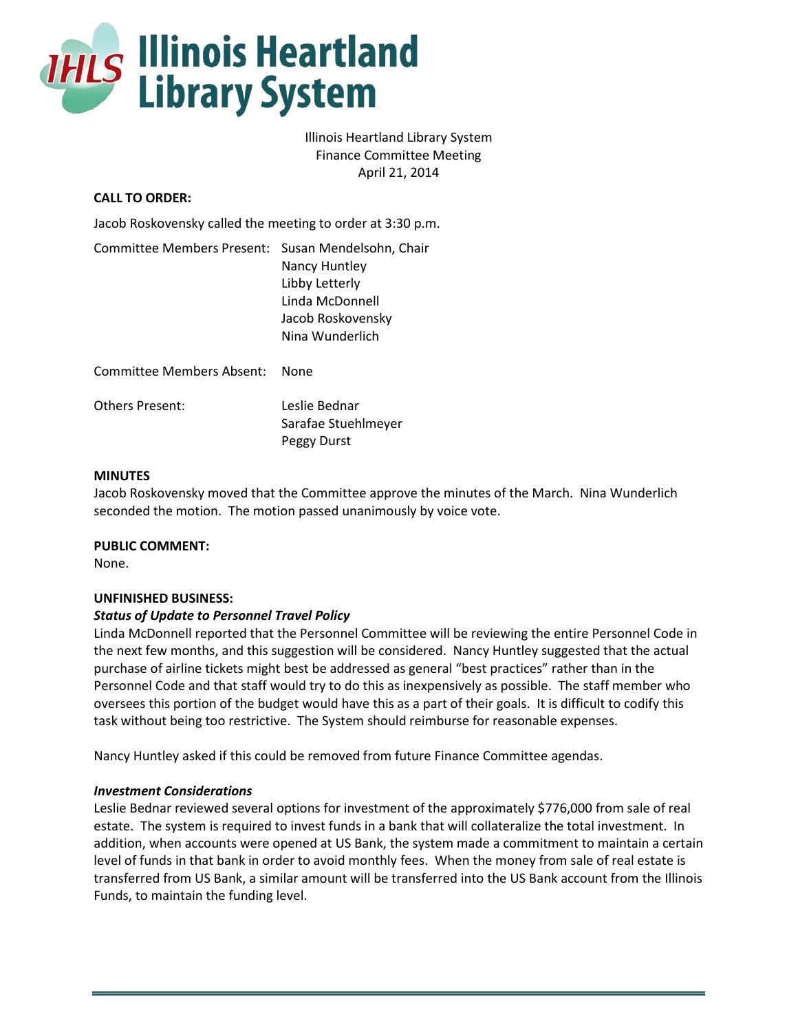

# Illinois Heartland Library System Finance Committee Meeting April 21, 2014

# **CALL TO ORDER:**

Jacob Roskovensky called the meeting to order at 3:30 p.m.

| Committee Members Present: Susan Mendelsohn, Chair | Nancy Huntley<br>Libby Letterly<br>Linda McDonnell |
|----------------------------------------------------|----------------------------------------------------|
|                                                    | Jacob Roskovensky<br>Nina Wunderlich               |
| Committee Members Absent:                          | None                                               |

Others Present: Leslie Bednar

Sarafae Stuehlmeyer Peggy Durst

### **MINUTES**

Jacob Roskovensky moved that the Committee approve the minutes of the March. Nina Wunderlich seconded the motion. The motion passed unanimously by voice vote.

**PUBLIC COMMENT:**

None.

## **UNFINISHED BUSINESS:**

## *Status of Update to Personnel Travel Policy*

Linda McDonnell reported that the Personnel Committee will be reviewing the entire Personnel Code in the next few months, and this suggestion will be considered. Nancy Huntley suggested that the actual purchase of airline tickets might best be addressed as general "best practices" rather than in the Personnel Code and that staff would try to do this as inexpensively as possible. The staff member who oversees this portion of the budget would have this as a part of their goals. It is difficult to codify this task without being too restrictive. The System should reimburse for reasonable expenses.

Nancy Huntley asked if this could be removed from future Finance Committee agendas.

### *Investment Considerations*

Leslie Bednar reviewed several options for investment of the approximately \$776,000 from sale of real estate. The system is required to invest funds in a bank that will collateralize the total investment. In addition, when accounts were opened at US Bank, the system made a commitment to maintain a certain level of funds in that bank in order to avoid monthly fees. When the money from sale of real estate is transferred from US Bank, a similar amount will be transferred into the US Bank account from the Illinois Funds, to maintain the funding level.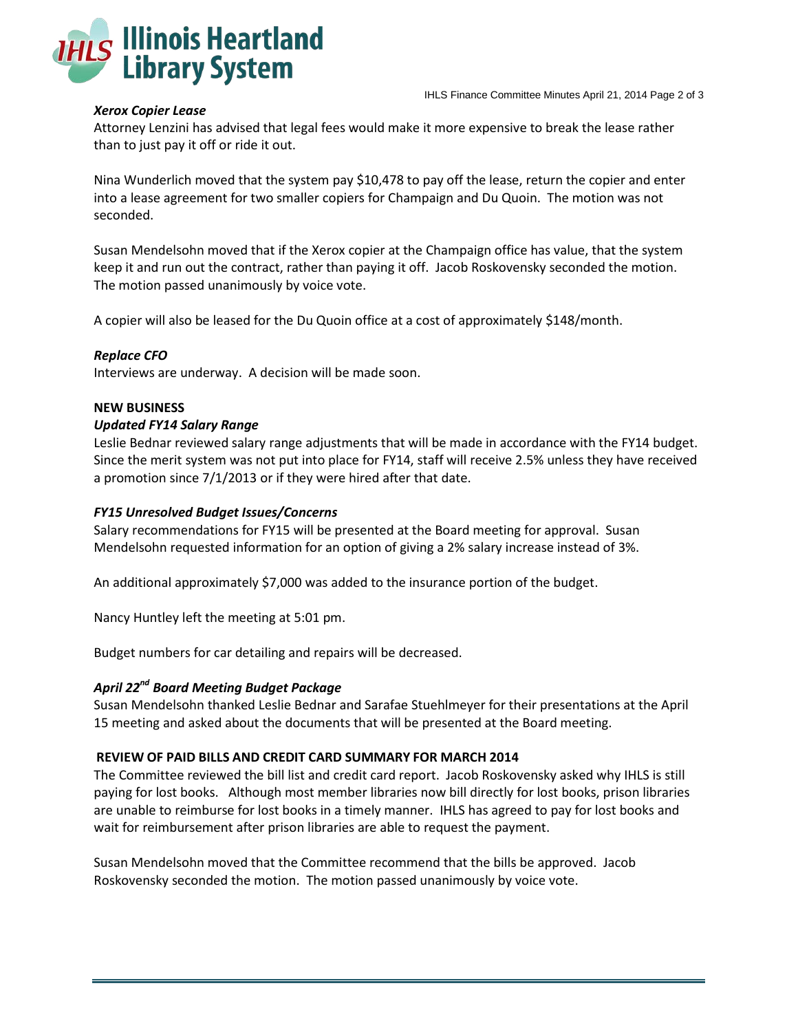

#### IHLS Finance Committee Minutes April 21, 2014 Page 2 of 3

### *Xerox Copier Lease*

Attorney Lenzini has advised that legal fees would make it more expensive to break the lease rather than to just pay it off or ride it out.

Nina Wunderlich moved that the system pay \$10,478 to pay off the lease, return the copier and enter into a lease agreement for two smaller copiers for Champaign and Du Quoin. The motion was not seconded.

Susan Mendelsohn moved that if the Xerox copier at the Champaign office has value, that the system keep it and run out the contract, rather than paying it off. Jacob Roskovensky seconded the motion. The motion passed unanimously by voice vote.

A copier will also be leased for the Du Quoin office at a cost of approximately \$148/month.

### *Replace CFO*

Interviews are underway. A decision will be made soon.

#### **NEW BUSINESS**

#### *Updated FY14 Salary Range*

Leslie Bednar reviewed salary range adjustments that will be made in accordance with the FY14 budget. Since the merit system was not put into place for FY14, staff will receive 2.5% unless they have received a promotion since 7/1/2013 or if they were hired after that date.

#### *FY15 Unresolved Budget Issues/Concerns*

Salary recommendations for FY15 will be presented at the Board meeting for approval. Susan Mendelsohn requested information for an option of giving a 2% salary increase instead of 3%.

An additional approximately \$7,000 was added to the insurance portion of the budget.

Nancy Huntley left the meeting at 5:01 pm.

Budget numbers for car detailing and repairs will be decreased.

### *April 22nd Board Meeting Budget Package*

Susan Mendelsohn thanked Leslie Bednar and Sarafae Stuehlmeyer for their presentations at the April 15 meeting and asked about the documents that will be presented at the Board meeting.

#### **REVIEW OF PAID BILLS AND CREDIT CARD SUMMARY FOR MARCH 2014**

The Committee reviewed the bill list and credit card report. Jacob Roskovensky asked why IHLS is still paying for lost books. Although most member libraries now bill directly for lost books, prison libraries are unable to reimburse for lost books in a timely manner. IHLS has agreed to pay for lost books and wait for reimbursement after prison libraries are able to request the payment.

Susan Mendelsohn moved that the Committee recommend that the bills be approved. Jacob Roskovensky seconded the motion. The motion passed unanimously by voice vote.